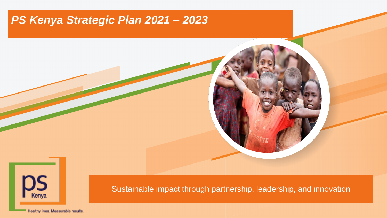### *PS Kenya Strategic Plan 2021 – 2023*



Sustainable impact through partnership, leadership, and innovation

Healthy lives. Measurable results.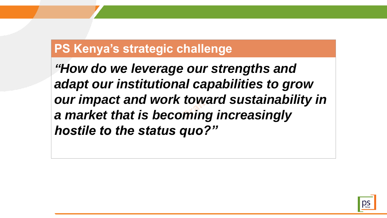## **PS Kenya's strategic challenge**

*"How do we leverage our strengths and adapt our institutional capabilities to grow our impact and work toward sustainability in a market that is becoming increasingly hostile to the status quo?"*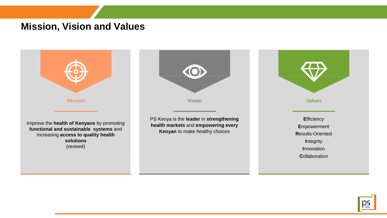### **Mission, Vision and Values**



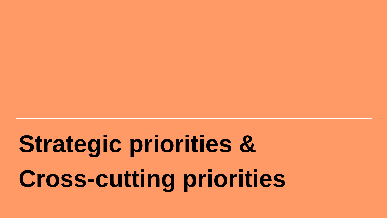# **Strategic priorities & Cross-cutting priorities**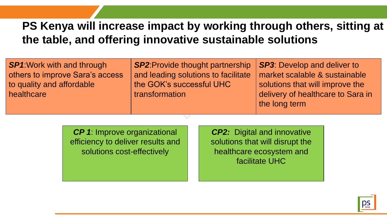### **PS Kenya will increase impact by working through others, sitting at the table, and offering innovative sustainable solutions**

| <b>SP1:</b> Work with and through | <b>SP2: Provide thought partnership</b> | SP3: Develop and deliver to       |
|-----------------------------------|-----------------------------------------|-----------------------------------|
| others to improve Sara's access   | and leading solutions to facilitate     | market scalable & sustainable     |
| to quality and affordable         | the GOK's successful UHC                | solutions that will improve the   |
| healthcare                        | transformation                          | delivery of healthcare to Sara in |
|                                   |                                         | the long term                     |

*CP 1*: Improve organizational efficiency to deliver results and solutions cost-effectively

*CP2:* Digital and innovative solutions that will disrupt the healthcare ecosystem and facilitate UHC

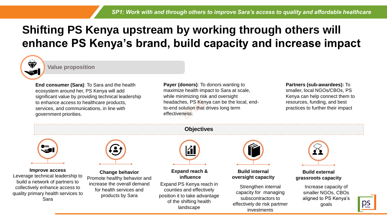### **Shifting PS Kenya upstream by working through others will enhance PS Kenya's brand, build capacity and increase impact**

 $\frac{1}{2}$ 

#### **Value proposition**

**End consumer (Sara)**: To Sara and the health ecosystem around her, PS Kenya will add significant value by providing technical leadership to enhance access to healthcare products, services, and communications, in line with government priorities.

**Payer (donors)**: To donors wanting to maximize health impact to Sara at scale, while minimizing risk and oversight headaches, PS Kenya can be the local, endto-end solution that drives long term effectiveness.

#### **Partners (sub-awardees):** To smaller, local NGOs/CBOs, PS Kenya can help connect them to resources, funding, and best practices to further their impact

**Improve access** Leverage technical leadership to build a network of partners to collectively enhance access to quality primary health services to Sara



**Change behavior** Promote healthy behavior and increase the overall demand for health services and products by Sara

#### **Objectives**



**Expand reach & influence**

Expand PS Kenya reach in counties and effectively position it to take advantage of the shifting health landscape



**Build internal oversight capacity** 

Strengthen internal capacity for managing subscontractors to effectively de risk partmer investments



**Build external grassroots capacity**

> Increase capacity of smaller NGOs, CBOs aligned to PS Kenya's goals

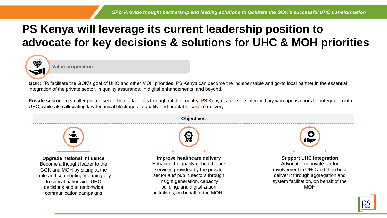### **PS Kenya will leverage its current leadership position to advocate for key decisions & solutions for UHC & MOH priorities**



**Value proposition**

**GOK:** To facilitate the GOK's goal of UHC and other MOH priorities, PS Kenya can become the indispensable and go-to local partner in the essential integration of the private sector, in quality assurance, in digital enhancements, and beyond.

**Private sector:** To smaller private sector health facilities throughout the country, PS Kenya can be the intermediary who opens doors for integration into UHC, while also alleviating key technical blockages to quality and profitable service delivery

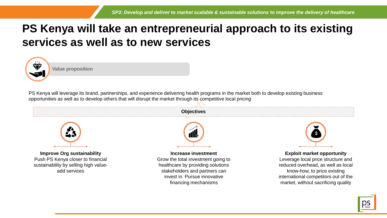### **PS Kenya will take an entrepreneurial approach to its existing services as well as to new services**



**Value proposition**

PS Kenya will leverage its brand, partnerships, and experience delivering health programs in the market both to develop existing business opportunities as well as to develop others that will disrupt the market through its competitive local pricing



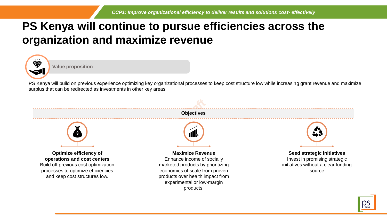### **PS Kenya will continue to pursue efficiencies across the organization and maximize revenue**



**Value proposition**

PS Kenya will build on previous experience optimizing key organizational processes to keep cost structure low while increasing grant revenue and maximize surplus that can be redirected as investments in other key areas